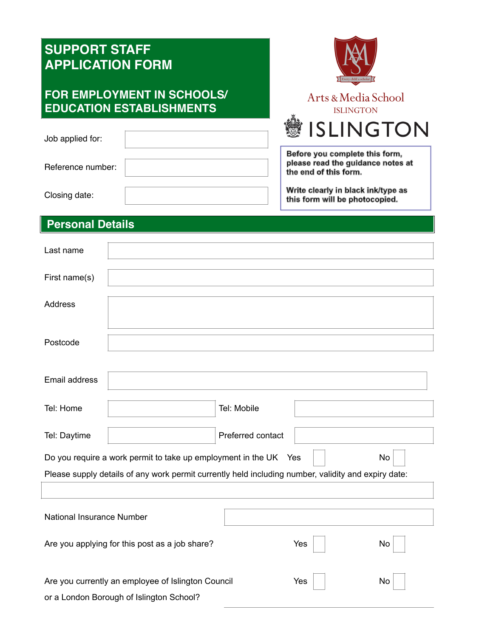# **SUPPORT STAFF APPLICATION FORM**

## **FOR EMPLOYMENT IN SCHOOLS/ EDUCATION ESTABLISHMENTS**

|                   | ▒ ISLINGTON                                                                                  |
|-------------------|----------------------------------------------------------------------------------------------|
| Job applied for:  |                                                                                              |
| Reference number: | Before you complete this form,<br>please read the guidance notes at<br>the end of this form. |
| Closing date:     | Write clearly in black ink/type as<br>this form will be photocopied.                         |

,嫌,

Arts & Media School **ISLINGTON** 

# **Personal Details**

| Last name                 |                                                                                                     |                   |     |    |
|---------------------------|-----------------------------------------------------------------------------------------------------|-------------------|-----|----|
|                           |                                                                                                     |                   |     |    |
| First name(s)             |                                                                                                     |                   |     |    |
|                           |                                                                                                     |                   |     |    |
| <b>Address</b>            |                                                                                                     |                   |     |    |
|                           |                                                                                                     |                   |     |    |
|                           |                                                                                                     |                   |     |    |
| Postcode                  |                                                                                                     |                   |     |    |
|                           |                                                                                                     |                   |     |    |
| Email address             |                                                                                                     |                   |     |    |
|                           |                                                                                                     |                   |     |    |
| Tel: Home                 |                                                                                                     | Tel: Mobile       |     |    |
|                           |                                                                                                     |                   |     |    |
| Tel: Daytime              |                                                                                                     | Preferred contact |     |    |
|                           | Do you require a work permit to take up employment in the UK Yes                                    |                   |     | No |
|                           |                                                                                                     |                   |     |    |
|                           | Please supply details of any work permit currently held including number, validity and expiry date: |                   |     |    |
|                           |                                                                                                     |                   |     |    |
|                           |                                                                                                     |                   |     |    |
| National Insurance Number |                                                                                                     |                   |     |    |
|                           |                                                                                                     |                   | Yes | No |
|                           | Are you applying for this post as a job share?                                                      |                   |     |    |
|                           |                                                                                                     |                   |     |    |
|                           | Are you currently an employee of Islington Council                                                  |                   | Yes | No |
|                           | or a London Borough of Islington School?                                                            |                   |     |    |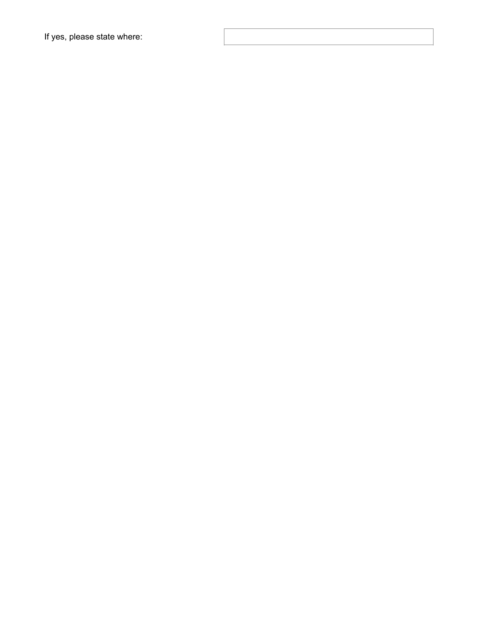If yes, please state where: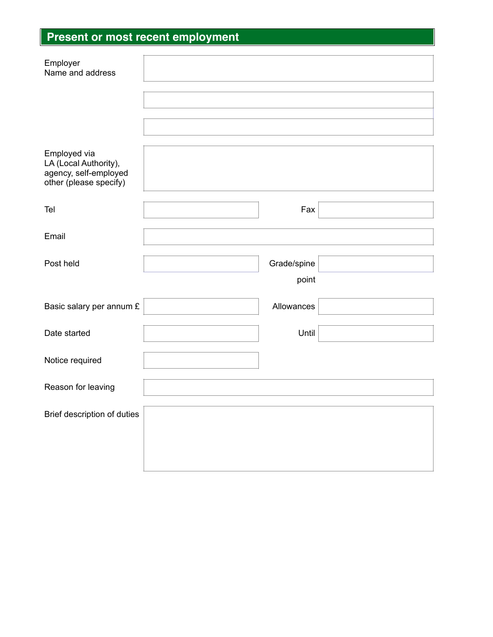# **Present or most recent employment**

| Employer<br>Name and address                                                             |             |  |
|------------------------------------------------------------------------------------------|-------------|--|
|                                                                                          |             |  |
|                                                                                          |             |  |
| Employed via<br>LA (Local Authority),<br>agency, self-employed<br>other (please specify) |             |  |
| Tel                                                                                      | Fax         |  |
| Email                                                                                    |             |  |
| Post held                                                                                | Grade/spine |  |
|                                                                                          | point       |  |
| Basic salary per annum £                                                                 | Allowances  |  |
| Date started                                                                             | Until       |  |
| Notice required                                                                          |             |  |
| Reason for leaving                                                                       |             |  |
| Brief description of duties                                                              |             |  |
|                                                                                          |             |  |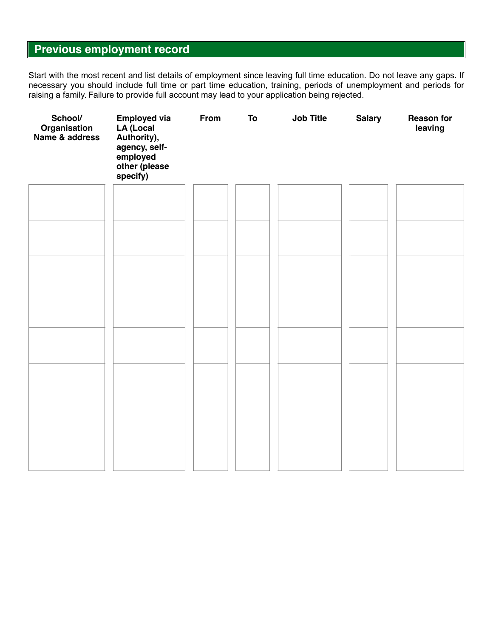## **Previous employment record**

Start with the most recent and list details of employment since leaving full time education. Do not leave any gaps. If necessary you should include full time or part time education, training, periods of unemployment and periods for raising a family. Failure to provide full account may lead to your application being rejected.

| School/<br><b>Organisation</b><br>Name & address | <b>Employed via</b><br>LA (Local<br>Authority),<br>agency, self-<br>employed<br>other (please<br>specify) | From | To | <b>Job Title</b> | <b>Salary</b> | <b>Reason for</b><br>leaving |
|--------------------------------------------------|-----------------------------------------------------------------------------------------------------------|------|----|------------------|---------------|------------------------------|
|                                                  |                                                                                                           |      |    |                  |               |                              |
|                                                  |                                                                                                           |      |    |                  |               |                              |
|                                                  |                                                                                                           |      |    |                  |               |                              |
|                                                  |                                                                                                           |      |    |                  |               |                              |
|                                                  |                                                                                                           |      |    |                  |               |                              |
|                                                  |                                                                                                           |      |    |                  |               |                              |
|                                                  |                                                                                                           |      |    |                  |               |                              |
|                                                  |                                                                                                           |      |    |                  |               |                              |
|                                                  |                                                                                                           |      |    |                  |               |                              |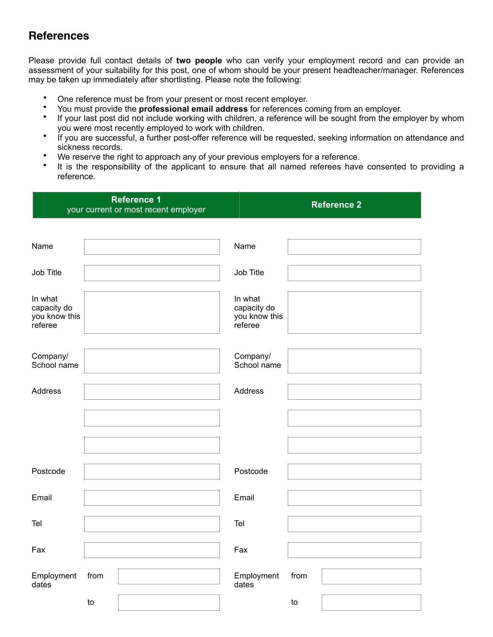## **References**

Please provide full contact details of **two people** who can verify your employment record and can provide an assessment of your suitability for this post, one of whom should be your present headteacher/manager. References may be taken up immediately after shortlisting. Please note the following:

- One reference must be from your present or most recent employer.
- You must provide the **professional email address** for references coming from an employer.
- If your last post did not include working with children, a reference will be sought from the employer by whom you were most recently employed to work with children.
- If you are successful, a further post-offer reference will be requested, seeking information on attendance and sickness records.
- We reserve the right to approach any of your previous employers for a reference.
- It is the responsibility of the applicant to ensure that all named referees have consented to providing a reference.

|                                                    | Reference 1<br>your current or most recent employer | <b>Reference 2</b>                                 |
|----------------------------------------------------|-----------------------------------------------------|----------------------------------------------------|
|                                                    |                                                     |                                                    |
| Name                                               |                                                     | Name                                               |
| Job Title                                          |                                                     | Job Title                                          |
| In what<br>capacity do<br>you know this<br>referee |                                                     | In what<br>capacity do<br>you know this<br>referee |
| Company/<br>School name                            |                                                     | Company/<br>School name                            |
| Address                                            |                                                     | Address                                            |
|                                                    |                                                     |                                                    |
|                                                    |                                                     |                                                    |
| Postcode                                           |                                                     | Postcode                                           |
| Email                                              |                                                     | Email                                              |
| Tel                                                |                                                     | Tel                                                |
| Fax                                                |                                                     | Fax                                                |
| Employment<br>dates                                | from                                                | Employment<br>from<br>dates                        |
|                                                    | to                                                  | to                                                 |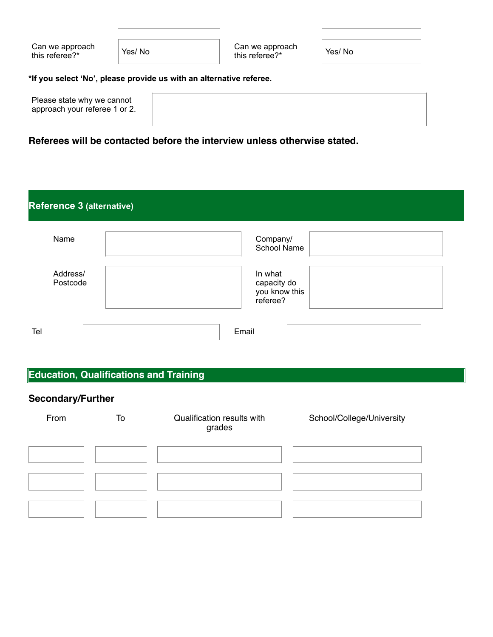Can we approach<br>this referee?\*

### **\*If you select 'No', please provide us with an alternative referee.**

| Please state why we cannot<br>approach your referee 1 or 2. |  |
|-------------------------------------------------------------|--|
|                                                             |  |

**Referees will be contacted before the interview unless otherwise stated.** 

### **Reference 3 (alternative)**  Name Report of the Company/ School Name Address/ Postcode In what capacity do you know this referee?

| - |  |  |
|---|--|--|

### **Education, Qualifications and Training**

### **Secondary/Further**

| From | То | Qualification results with<br>grades | School/College/University |
|------|----|--------------------------------------|---------------------------|
|      |    |                                      |                           |
|      |    |                                      |                           |
|      |    |                                      |                           |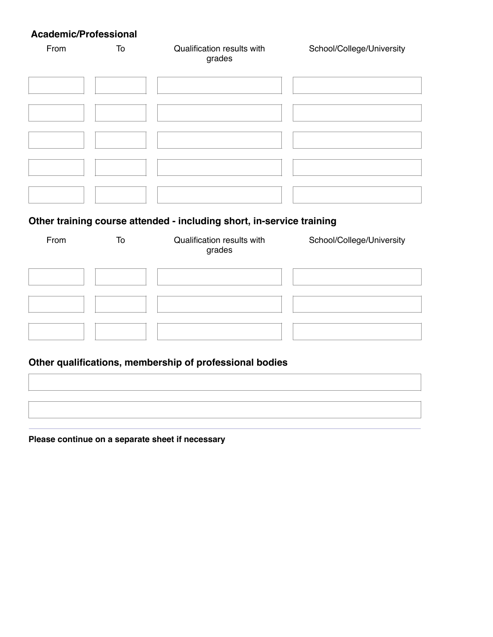## **Academic/Professional**

| From | To | Qualification results with<br>grades | School/College/University |
|------|----|--------------------------------------|---------------------------|
|      |    |                                      |                           |
|      |    |                                      |                           |
|      |    |                                      |                           |
|      |    |                                      |                           |
|      |    |                                      |                           |

## **Other training course attended - including short, in-service training**

| From | To | Qualification results with<br>grades | School/College/University |
|------|----|--------------------------------------|---------------------------|
|      |    |                                      |                           |
|      |    |                                      |                           |
|      |    |                                      |                           |

## **Other qualifications, membership of professional bodies**



### **Please continue on a separate sheet if necessary**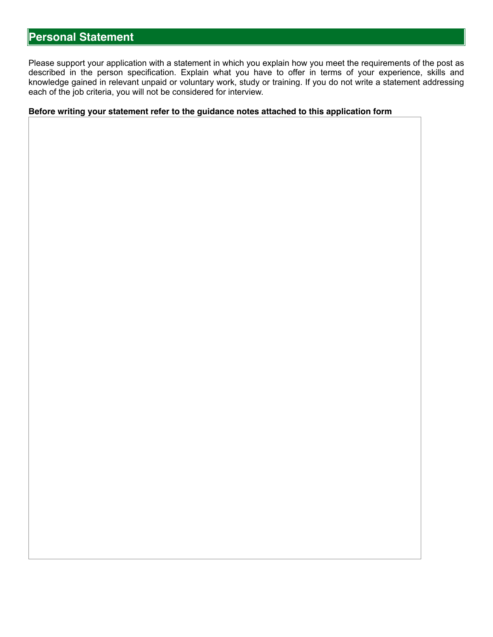## **Personal Statement**

Please support your application with a statement in which you explain how you meet the requirements of the post as described in the person specification. Explain what you have to offer in terms of your experience, skills and knowledge gained in relevant unpaid or voluntary work, study or training. If you do not write a statement addressing each of the job criteria, you will not be considered for interview.

### **Before writing your statement refer to the guidance notes attached to this application form**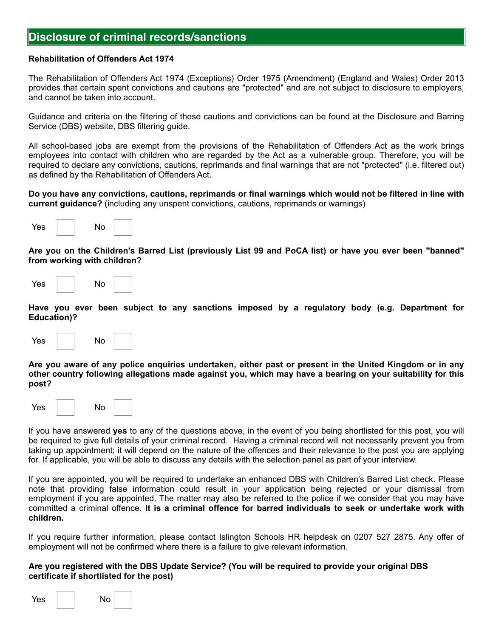## **Disclosure of criminal records/sanctions**

### **Rehabilitation of Offenders Act 1974**

The Rehabilitation of Offenders Act 1974 (Exceptions) Order 1975 (Amendment) (England and Wales) Order 2013 provides that certain spent convictions and cautions are "protected" and are not subject to disclosure to employers, and cannot be taken into account.

Guidance and criteria on the filtering of these cautions and convictions can be found at the Disclosure and Barring Service (DBS) website, DBS filtering guide.

All school-based jobs are exempt from the provisions of the Rehabilitation of Offenders Act as the work brings employees into contact with children who are regarded by the Act as a vulnerable group. Therefore, you will be required to declare any convictions, cautions, reprimands and final warnings that are not "protected" (i.e. filtered out) as defined by the Rehabilitation of Offenders Act.

**Do you have any convictions, cautions, reprimands or final warnings which would not be filtered in line with current guidance?** (including any unspent convictions, cautions, reprimands or warnings)

| No<br><b>Yes</b> |  |  |
|------------------|--|--|
|------------------|--|--|

**Are you on the Children's Barred List (previously List 99 and PoCA list) or have you ever been "banned" from working with children?** 

| Yes. | N٥ |
|------|----|
|------|----|

**Have you ever been subject to any sanctions imposed by a regulatory body (e.g. Department for Education)?** 

| <b>Yes</b> | N٥ |  |  |
|------------|----|--|--|
|------------|----|--|--|

**Are you aware of any police enquiries undertaken, either past or present in the United Kingdom or in any other country following allegations made against you, which may have a bearing on your suitability for this post?** 

| <b>Yes</b> |  | No |  |  |
|------------|--|----|--|--|
|------------|--|----|--|--|

If you have answered **yes** to any of the questions above, in the event of you being shortlisted for this post, you will be required to give full details of your criminal record. Having a criminal record will not necessarily prevent you from taking up appointment; it will depend on the nature of the offences and their relevance to the post you are applying for. If applicable, you will be able to discuss any details with the selection panel as part of your interview.

If you are appointed, you will be required to undertake an enhanced DBS with Children's Barred List check. Please note that providing false information could result in your application being rejected or your dismissal from employment if you are appointed. The matter may also be referred to the police if we consider that you may have committed a criminal offence. **It is a criminal offence for barred individuals to seek or undertake work with children.**

If you require further information, please contact Islington Schools HR helpdesk on 0207 527 2875. Any offer of employment will not be confirmed where there is a failure to give relevant information.

### **Are you registered with the DBS Update Service? (You will be required to provide your original DBS certificate if shortlisted for the post)**

Yes No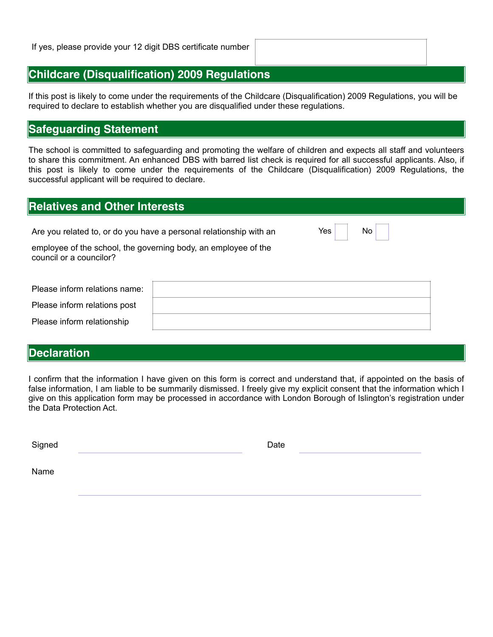## **Childcare (Disqualification) 2009 Regulations**

If this post is likely to come under the requirements of the Childcare (Disqualification) 2009 Regulations, you will be required to declare to establish whether you are disqualified under these regulations.

## **Safeguarding Statement**

The school is committed to safeguarding and promoting the welfare of children and expects all staff and volunteers to share this commitment. An enhanced DBS with barred list check is required for all successful applicants. Also, if this post is likely to come under the requirements of the Childcare (Disqualification) 2009 Regulations, the successful applicant will be required to declare.

## **Relatives and Other Interests**

Are you related to, or do you have a personal relationship with an  $Yes$  No

employee of the school, the governing body, an employee of the council or a councilor?

| Please inform relations name: |  |
|-------------------------------|--|
| Please inform relations post  |  |
| Please inform relationship    |  |

## **Declaration**

I confirm that the information I have given on this form is correct and understand that, if appointed on the basis of false information, I am liable to be summarily dismissed. I freely give my explicit consent that the information which I give on this application form may be processed in accordance with London Borough of Islington's registration under the Data Protection Act.

Signed **Date** 

Name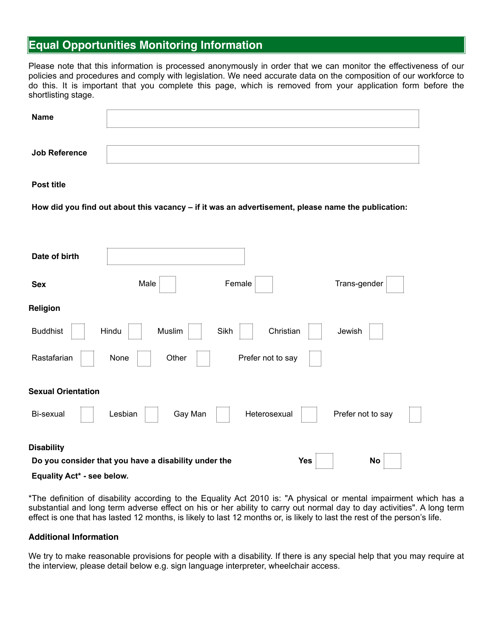## **Equal Opportunities Monitoring Information**

Please note that this information is processed anonymously in order that we can monitor the effectiveness of our policies and procedures and comply with legislation. We need accurate data on the composition of our workforce to do this. It is important that you complete this page, which is removed from your application form before the shortlisting stage.

| <b>Name</b>          |                 |                                                                                                    |              |
|----------------------|-----------------|----------------------------------------------------------------------------------------------------|--------------|
| <b>Job Reference</b> |                 |                                                                                                    |              |
| <b>Post title</b>    |                 |                                                                                                    |              |
|                      |                 | How did you find out about this vacancy - if it was an advertisement, please name the publication: |              |
|                      |                 |                                                                                                    |              |
| Date of birth        |                 |                                                                                                    |              |
| <b>Sex</b>           | Male            | Female                                                                                             | Trans-gender |
| Religion             |                 |                                                                                                    |              |
| <b>Buddhist</b>      | Hindu<br>Muslim | Sikh<br>Christian                                                                                  | Jewish       |
| Rastafarian          | None<br>Other   | Prefer not to say                                                                                  |              |

### **Sexual Orientation**

| Bi-sexual         | Lesbian | Gay Man | Heterosexual | Prefer not to say |  |
|-------------------|---------|---------|--------------|-------------------|--|
| <b>Dieability</b> |         |         |              |                   |  |

| יווועטוש                                             |      |    |  |
|------------------------------------------------------|------|----|--|
| Do you consider that you have a disability under the | Yes, | No |  |
| Equality Acts, can below                             |      |    |  |

### **Equality Act\* - see below.**

\*The definition of disability according to the Equality Act 2010 is: "A physical or mental impairment which has a substantial and long term adverse effect on his or her ability to carry out normal day to day activities". A long term effect is one that has lasted 12 months, is likely to last 12 months or, is likely to last the rest of the person's life.

### **Additional Information**

We try to make reasonable provisions for people with a disability. If there is any special help that you may require at the interview, please detail below e.g. sign language interpreter, wheelchair access.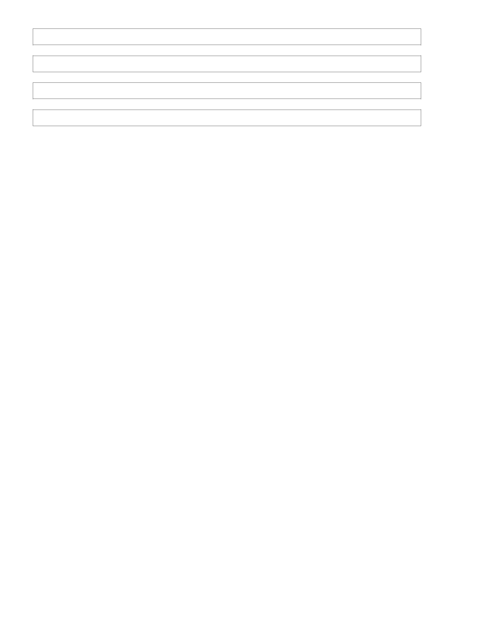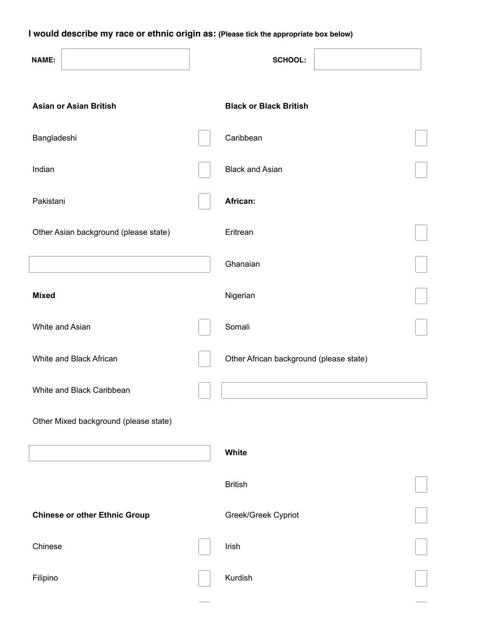## **I would describe my race or ethnic origin as: (Please tick the appropriate box below)**

| <b>NAME:</b>                          | <b>SCHOOL:</b>                          |  |
|---------------------------------------|-----------------------------------------|--|
| <b>Asian or Asian British</b>         | <b>Black or Black British</b>           |  |
| Bangladeshi                           | Caribbean                               |  |
| Indian                                | <b>Black and Asian</b>                  |  |
| Pakistani                             | African:                                |  |
| Other Asian background (please state) | Eritrean                                |  |
|                                       | Ghanaian                                |  |
| <b>Mixed</b>                          | Nigerian                                |  |
| White and Asian                       | Somali                                  |  |
| White and Black African               | Other African background (please state) |  |
| White and Black Caribbean             |                                         |  |
| Other Mixed background (please state) |                                         |  |
|                                       | White                                   |  |
|                                       | <b>British</b>                          |  |
| <b>Chinese or other Ethnic Group</b>  | Greek/Greek Cypriot                     |  |
| Chinese                               | Irish                                   |  |
| Filipino                              | Kurdish                                 |  |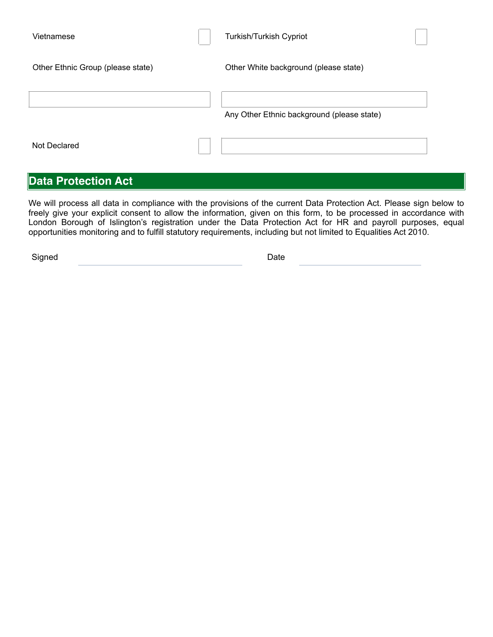| Vietnamese                        | Turkish/Turkish Cypriot                    |  |
|-----------------------------------|--------------------------------------------|--|
| Other Ethnic Group (please state) | Other White background (please state)      |  |
|                                   | Any Other Ethnic background (please state) |  |
| Not Declared                      |                                            |  |

## **Data Protection Act**

We will process all data in compliance with the provisions of the current Data Protection Act. Please sign below to freely give your explicit consent to allow the information, given on this form, to be processed in accordance with London Borough of Islington's registration under the Data Protection Act for HR and payroll purposes, equal opportunities monitoring and to fulfill statutory requirements, including but not limited to Equalities Act 2010.

Signed Date **Date**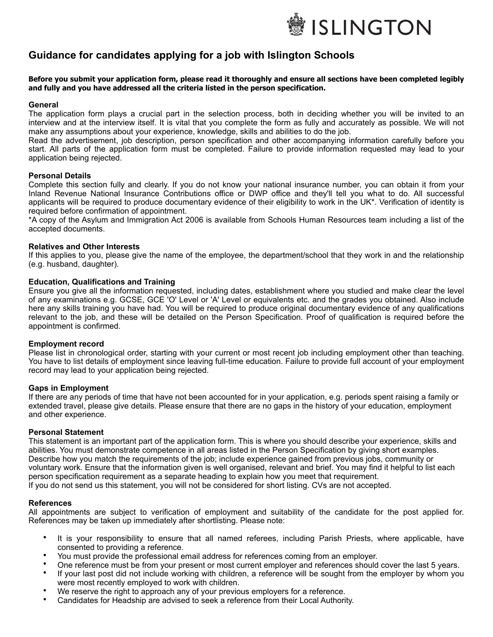

## **Guidance for candidates applying for a job with Islington Schools**

### **Before you submit your application form, please read it thoroughly and ensure all sections have been completed legibly and fully and you have addressed all the criteria listed in the person specification.**

### **General**

The application form plays a crucial part in the selection process, both in deciding whether you will be invited to an interview and at the interview itself. It is vital that you complete the form as fully and accurately as possible. We will not make any assumptions about your experience, knowledge, skills and abilities to do the job.

Read the advertisement, job description, person specification and other accompanying information carefully before you start. All parts of the application form must be completed. Failure to provide information requested may lead to your application being rejected.

### **Personal Details**

Complete this section fully and clearly. If you do not know your national insurance number, you can obtain it from your Inland Revenue National Insurance Contributions office or DWP office and they'll tell you what to do. All successful applicants will be required to produce documentary evidence of their eligibility to work in the UK\*. Verification of identity is required before confirmation of appointment.

\*A copy of the Asylum and Immigration Act 2006 is available from Schools Human Resources team including a list of the accepted documents.

### **Relatives and Other Interests**

If this applies to you, please give the name of the employee, the department/school that they work in and the relationship (e.g. husband, daughter).

### **Education, Qualifications and Training**

Ensure you give all the information requested, including dates, establishment where you studied and make clear the level of any examinations e.g. GCSE, GCE 'O' Level or 'A' Level or equivalents etc. and the grades you obtained. Also include here any skills training you have had. You will be required to produce original documentary evidence of any qualifications relevant to the job, and these will be detailed on the Person Specification. Proof of qualification is required before the appointment is confirmed.

### **Employment record**

Please list in chronological order, starting with your current or most recent job including employment other than teaching. You have to list details of employment since leaving full-time education. Failure to provide full account of your employment record may lead to your application being rejected.

### **Gaps in Employment**

If there are any periods of time that have not been accounted for in your application, e.g. periods spent raising a family or extended travel, please give details. Please ensure that there are no gaps in the history of your education, employment and other experience.

### **Personal Statement**

This statement is an important part of the application form. This is where you should describe your experience, skills and abilities. You must demonstrate competence in all areas listed in the Person Specification by giving short examples. Describe how you match the requirements of the job; include experience gained from previous jobs, community or voluntary work. Ensure that the information given is well organised, relevant and brief. You may find it helpful to list each person specification requirement as a separate heading to explain how you meet that requirement. If you do not send us this statement, you will not be considered for short listing. CVs are not accepted.

### **References**

All appointments are subject to verification of employment and suitability of the candidate for the post applied for. References may be taken up immediately after shortlisting. Please note:

- It is your responsibility to ensure that all named referees, including Parish Priests, where applicable, have consented to providing a reference.
- You must provide the professional email address for references coming from an employer.
- One reference must be from your present or most current employer and references should cover the last 5 years. • If your last post did not include working with children, a reference will be sought from the employer by whom you
- were most recently employed to work with children.
- We reserve the right to approach any of your previous employers for a reference.
- Candidates for Headship are advised to seek a reference from their Local Authority.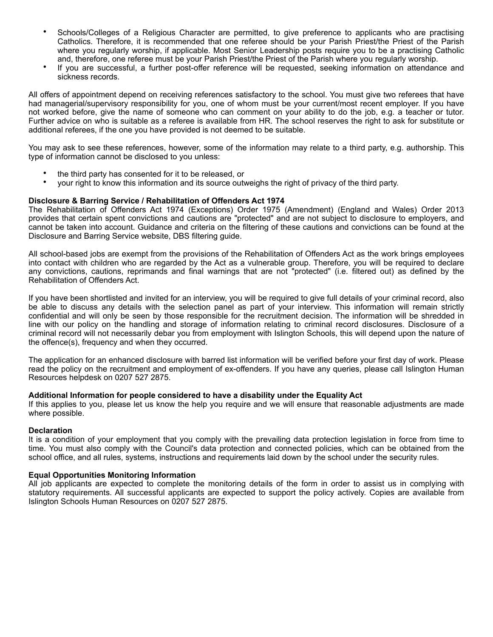- Schools/Colleges of a Religious Character are permitted, to give preference to applicants who are practising Catholics. Therefore, it is recommended that one referee should be your Parish Priest/the Priest of the Parish where you regularly worship, if applicable. Most Senior Leadership posts require you to be a practising Catholic and, therefore, one referee must be your Parish Priest/the Priest of the Parish where you regularly worship.
- If you are successful, a further post-offer reference will be requested, seeking information on attendance and sickness records.

All offers of appointment depend on receiving references satisfactory to the school. You must give two referees that have had managerial/supervisory responsibility for you, one of whom must be your current/most recent employer. If you have not worked before, give the name of someone who can comment on your ability to do the job, e.g. a teacher or tutor. Further advice on who is suitable as a referee is available from HR. The school reserves the right to ask for substitute or additional referees, if the one you have provided is not deemed to be suitable.

You may ask to see these references, however, some of the information may relate to a third party, e.g. authorship. This type of information cannot be disclosed to you unless:

- the third party has consented for it to be released, or
- your right to know this information and its source outweighs the right of privacy of the third party.

### **Disclosure & Barring Service / Rehabilitation of Offenders Act 1974**

The Rehabilitation of Offenders Act 1974 (Exceptions) Order 1975 (Amendment) (England and Wales) Order 2013 provides that certain spent convictions and cautions are "protected" and are not subject to disclosure to employers, and cannot be taken into account. Guidance and criteria on the filtering of these cautions and convictions can be found at the Disclosure and Barring Service website, DBS filtering guide.

All school-based jobs are exempt from the provisions of the Rehabilitation of Offenders Act as the work brings employees into contact with children who are regarded by the Act as a vulnerable group. Therefore, you will be required to declare any convictions, cautions, reprimands and final warnings that are not "protected" (i.e. filtered out) as defined by the Rehabilitation of Offenders Act.

If you have been shortlisted and invited for an interview, you will be required to give full details of your criminal record, also be able to discuss any details with the selection panel as part of your interview. This information will remain strictly confidential and will only be seen by those responsible for the recruitment decision. The information will be shredded in line with our policy on the handling and storage of information relating to criminal record disclosures. Disclosure of a criminal record will not necessarily debar you from employment with Islington Schools, this will depend upon the nature of the offence(s), frequency and when they occurred.

The application for an enhanced disclosure with barred list information will be verified before your first day of work. Please read the policy on the recruitment and employment of ex-offenders. If you have any queries, please call Islington Human Resources helpdesk on 0207 527 2875.

### **Additional Information for people considered to have a disability under the Equality Act**

If this applies to you, please let us know the help you require and we will ensure that reasonable adjustments are made where possible.

### **Declaration**

It is a condition of your employment that you comply with the prevailing data protection legislation in force from time to time. You must also comply with the Council's data protection and connected policies, which can be obtained from the school office, and all rules, systems, instructions and requirements laid down by the school under the security rules.

### **Equal Opportunities Monitoring Information**

All job applicants are expected to complete the monitoring details of the form in order to assist us in complying with statutory requirements. All successful applicants are expected to support the policy actively. Copies are available from Islington Schools Human Resources on 0207 527 2875.